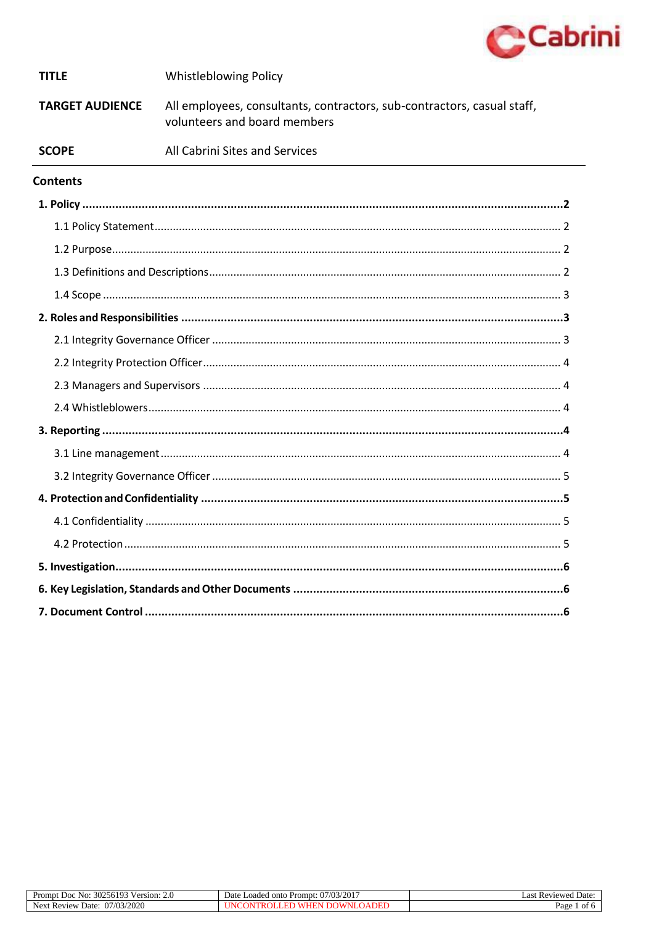

#### **Whistleblowing Policy TITLE**

All employees, consultants, contractors, sub-contractors, casual staff, **TARGET AUDIENCE** volunteers and board members

# **SCOPE**

All Cabrini Sites and Services

#### **Contents**

<span id="page-0-0"></span>

| 6103<br>いちん<br>No:<br>Prompt<br>Doc<br>Version: 2.0<br>.NJZ.ND     | //03/2017<br>$\sim$ $-$<br>Date<br>Loaded onto<br>Prompt.<br>1111 | : Reviewed<br>-ast<br>Date |
|--------------------------------------------------------------------|-------------------------------------------------------------------|----------------------------|
| 07/03/2020<br>Next<br>Date <sup>.</sup><br><b>Review</b><br>0/0.5/ | DEL                                                               | Page<br>$\sim$             |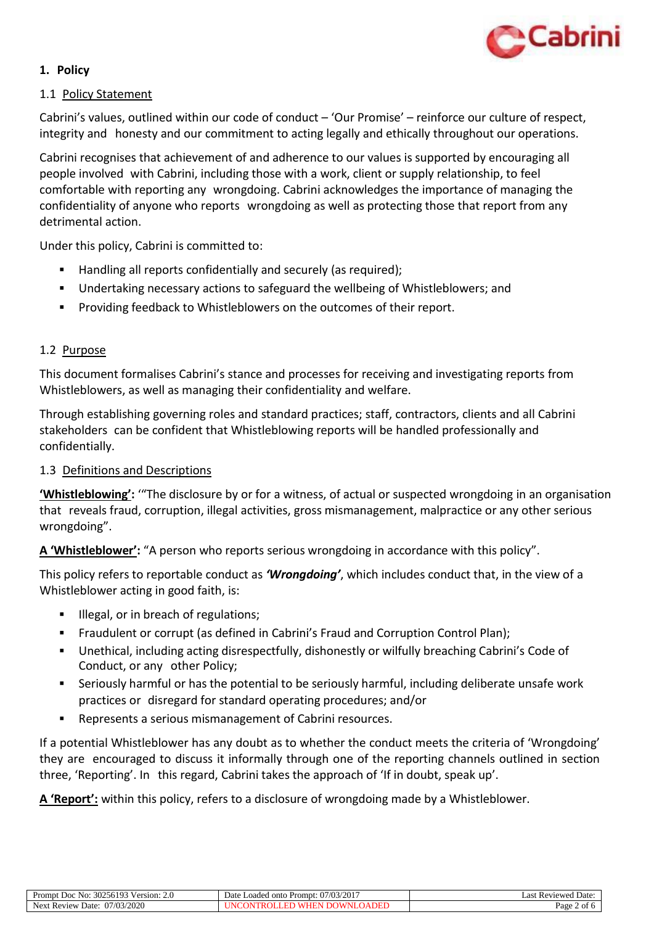

# **1. Policy**

## <span id="page-1-0"></span>1.1 Policy Statement

Cabrini's values, outlined within our code of conduct – 'Our Promise' – reinforce our culture of respect, integrity and honesty and our commitment to acting legally and ethically throughout our operations.

Cabrini recognises that achievement of and adherence to our values is supported by encouraging all people involved with Cabrini, including those with a work, client or supply relationship, to feel comfortable with reporting any wrongdoing. Cabrini acknowledges the importance of managing the confidentiality of anyone who reports wrongdoing as well as protecting those that report from any detrimental action.

Under this policy, Cabrini is committed to:

- Handling all reports confidentially and securely (as required);
- Undertaking necessary actions to safeguard the wellbeing of Whistleblowers; and
- **Providing feedback to Whistleblowers on the outcomes of their report.**

# <span id="page-1-1"></span>1.2 Purpose

This document formalises Cabrini's stance and processes for receiving and investigating reports from Whistleblowers, as well as managing their confidentiality and welfare.

Through establishing governing roles and standard practices; staff, contractors, clients and all Cabrini stakeholders can be confident that Whistleblowing reports will be handled professionally and confidentially.

## <span id="page-1-2"></span>1.3 Definitions and Descriptions

**'Whistleblowing':** '"The disclosure by or for a witness, of actual or suspected wrongdoing in an organisation that reveals fraud, corruption, illegal activities, gross mismanagement, malpractice or any other serious wrongdoing".

**A 'Whistleblower':** "A person who reports serious wrongdoing in accordance with this policy".

This policy refers to reportable conduct as *'Wrongdoing'*, which includes conduct that, in the view of a Whistleblower acting in good faith, is:

- Illegal, or in breach of regulations;
- Fraudulent or corrupt (as defined in Cabrini's Fraud and Corruption Control Plan);
- Unethical, including acting disrespectfully, dishonestly or wilfully breaching Cabrini's Code of Conduct, or any other Policy;
- Seriously harmful or has the potential to be seriously harmful, including deliberate unsafe work practices or disregard for standard operating procedures; and/or
- Represents a serious mismanagement of Cabrini resources.

If a potential Whistleblower has any doubt as to whether the conduct meets the criteria of 'Wrongdoing' they are encouraged to discuss it informally through one of the reporting channels outlined in section three, 'Reporting'. In this regard, Cabrini takes the approach of 'If in doubt, speak up'.

**A 'Report':** within this policy, refers to a disclosure of wrongdoing made by a Whistleblower.

| -103<br>いちん<br>Prompt<br>Version:<br>No:<br>Doc<br>.NJZ.H<br>$\sim$ | (2017)<br>$\sim$ $-$<br>⊅ate<br>Loaded onto<br>Prompt.<br>$0 - 201$ | Date<br>` Reviewed<br>-as |
|---------------------------------------------------------------------|---------------------------------------------------------------------|---------------------------|
| 07/03/2020<br>Next<br>. Review<br>Date                              | ADEI                                                                | Page<br>ി                 |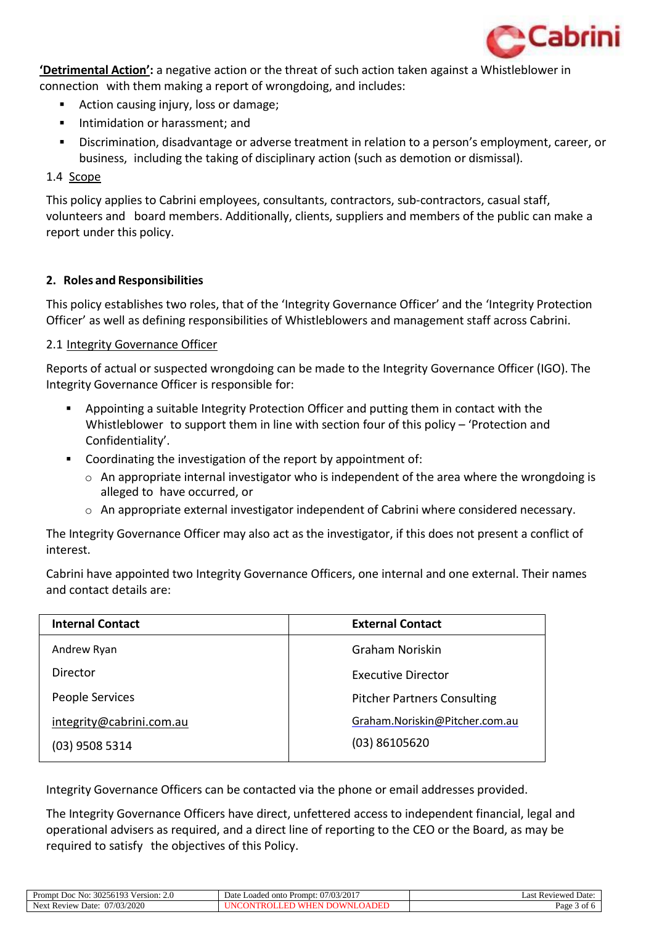

**'Detrimental Action':** a negative action or the threat of such action taken against a Whistleblower in connection with them making a report of wrongdoing, and includes:

- Action causing injury, loss or damage;
- Intimidation or harassment; and
- Discrimination, disadvantage or adverse treatment in relation to a person's employment, career, or business, including the taking of disciplinary action (such as demotion or dismissal).

# <span id="page-2-0"></span>1.4 Scope

This policy applies to Cabrini employees, consultants, contractors, sub-contractors, casual staff, volunteers and board members. Additionally, clients, suppliers and members of the public can make a report under this policy.

## <span id="page-2-1"></span>**2. Roles and Responsibilities**

This policy establishes two roles, that of the 'Integrity Governance Officer' and the 'Integrity Protection Officer' as well as defining responsibilities of Whistleblowers and management staff across Cabrini.

# <span id="page-2-2"></span>2.1 Integrity Governance Officer

Reports of actual or suspected wrongdoing can be made to the Integrity Governance Officer (IGO). The Integrity Governance Officer is responsible for:

- Appointing a suitable Integrity Protection Officer and putting them in contact with the Whistleblower to support them in line with section four of this policy – 'Protection and Confidentiality'.
- Coordinating the investigation of the report by appointment of:
	- $\circ$  An appropriate internal investigator who is independent of the area where the wrongdoing is alleged to have occurred, or
	- o An appropriate external investigator independent of Cabrini where considered necessary.

The Integrity Governance Officer may also act as the investigator, if this does not present a conflict of interest.

Cabrini have appointed two Integrity Governance Officers, one internal and one external. Their names and contact details are:

| <b>Internal Contact</b>  | <b>External Contact</b>            |
|--------------------------|------------------------------------|
| Andrew Ryan              | Graham Noriskin                    |
| Director                 | <b>Executive Director</b>          |
| People Services          | <b>Pitcher Partners Consulting</b> |
| integrity@cabrini.com.au | Graham.Noriskin@Pitcher.com.au     |
| $(03)$ 9508 5314         | $(03)$ 86105620                    |

Integrity Governance Officers can be contacted via the phone or email addresses provided.

The Integrity Governance Officers have direct, unfettered access to independent financial, legal and operational advisers as required, and a direct line of reporting to the CEO or the Board, as may be required to satisfy the objectives of this Policy.

| 302561<br>0.102<br>Version: 2.0<br>Doc<br>Prompt<br>NO:                      | $/03/201$ <sup>-1</sup><br>$\sim$ $-$<br>Date<br>Loaded onto<br>Prompt:<br>$\cdot$ | : Reviewed Date:<br>Last        |
|------------------------------------------------------------------------------|------------------------------------------------------------------------------------|---------------------------------|
| /03/2020<br>$\sim$<br>$\sim$ $\sim$<br>Next<br>. Review<br>Date <sup>-</sup> | ADEL<br>v.                                                                         | Page<br>$\rightarrow$ 01 $\sim$ |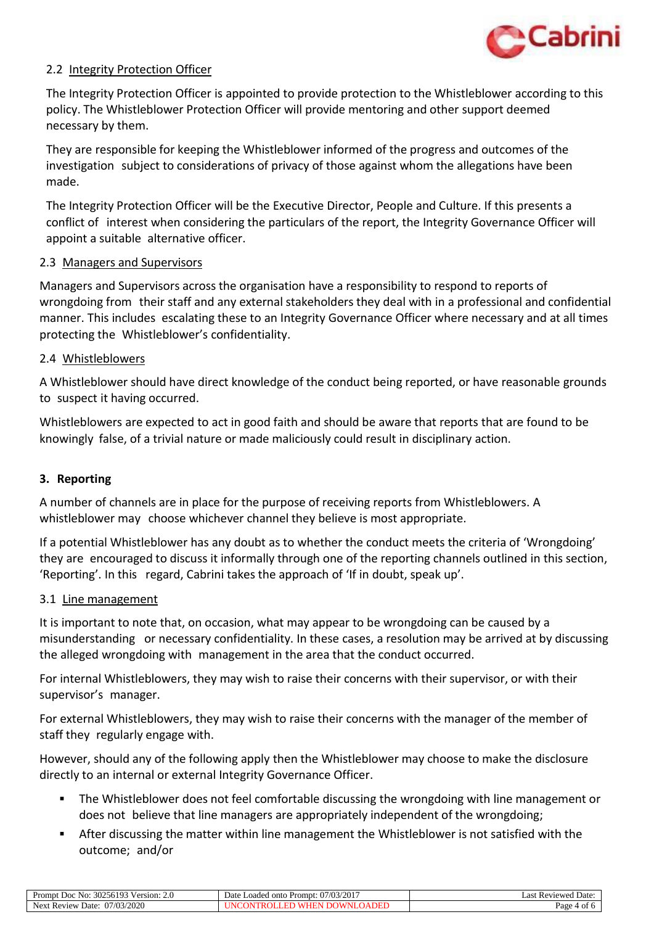

## <span id="page-3-0"></span>2.2 Integrity Protection Officer

The Integrity Protection Officer is appointed to provide protection to the Whistleblower according to this policy. The Whistleblower Protection Officer will provide mentoring and other support deemed necessary by them.

They are responsible for keeping the Whistleblower informed of the progress and outcomes of the investigation subject to considerations of privacy of those against whom the allegations have been made.

The Integrity Protection Officer will be the Executive Director, People and Culture. If this presents a conflict of interest when considering the particulars of the report, the Integrity Governance Officer will appoint a suitable alternative officer.

## <span id="page-3-1"></span>2.3 Managers and Supervisors

Managers and Supervisors across the organisation have a responsibility to respond to reports of wrongdoing from their staff and any external stakeholders they deal with in a professional and confidential manner. This includes escalating these to an Integrity Governance Officer where necessary and at all times protecting the Whistleblower's confidentiality.

## <span id="page-3-2"></span>2.4 Whistleblowers

A Whistleblower should have direct knowledge of the conduct being reported, or have reasonable grounds to suspect it having occurred.

Whistleblowers are expected to act in good faith and should be aware that reports that are found to be knowingly false, of a trivial nature or made maliciously could result in disciplinary action.

## <span id="page-3-3"></span>**3. Reporting**

A number of channels are in place for the purpose of receiving reports from Whistleblowers. A whistleblower may choose whichever channel they believe is most appropriate.

If a potential Whistleblower has any doubt as to whether the conduct meets the criteria of 'Wrongdoing' they are encouraged to discuss it informally through one of the reporting channels outlined in this section, 'Reporting'. In this regard, Cabrini takes the approach of 'If in doubt, speak up'.

## <span id="page-3-4"></span>3.1 Line management

It is important to note that, on occasion, what may appear to be wrongdoing can be caused by a misunderstanding or necessary confidentiality. In these cases, a resolution may be arrived at by discussing the alleged wrongdoing with management in the area that the conduct occurred.

For internal Whistleblowers, they may wish to raise their concerns with their supervisor, or with their supervisor's manager.

For external Whistleblowers, they may wish to raise their concerns with the manager of the member of staff they regularly engage with.

However, should any of the following apply then the Whistleblower may choose to make the disclosure directly to an internal or external Integrity Governance Officer.

- The Whistleblower does not feel comfortable discussing the wrongdoing with line management or does not believe that line managers are appropriately independent of the wrongdoing;
- After discussing the matter within line management the Whistleblower is not satisfied with the outcome; and/or

| 6103 V<br>30256193<br>rompt<br>$\gamma$ version: $2.6$<br>NO.<br>Doc                           | $\sim$<br>10210017<br>Date<br>Loaded<br>onto<br>Prompt.<br>/II 5<br>'201<br>.<br><b>A</b> | Reviewed<br>Date |
|------------------------------------------------------------------------------------------------|-------------------------------------------------------------------------------------------|------------------|
| (2020)<br>$\sim$ $-$<br>$\sim$ $\sim$<br>Date <sup>-</sup><br>. Review<br>Next<br>0.5/<br>∪∠∪∠ | $\mathbf{r}$                                                                              | Page             |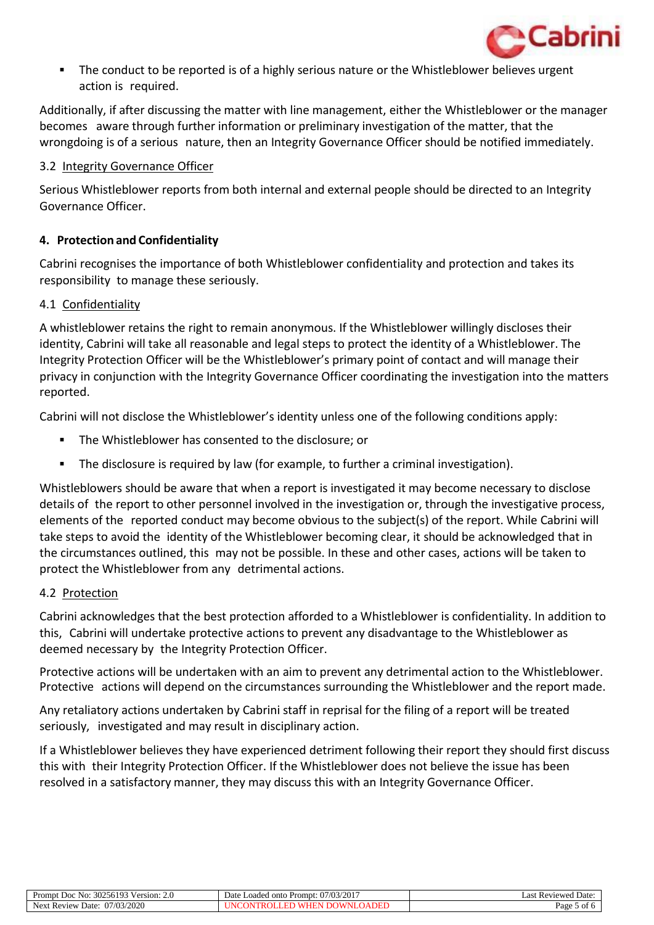

 The conduct to be reported is of a highly serious nature or the Whistleblower believes urgent action is required.

Additionally, if after discussing the matter with line management, either the Whistleblower or the manager becomes aware through further information or preliminary investigation of the matter, that the wrongdoing is of a serious nature, then an Integrity Governance Officer should be notified immediately.

# <span id="page-4-0"></span>3.2 Integrity Governance Officer

Serious Whistleblower reports from both internal and external people should be directed to an Integrity Governance Officer.

# <span id="page-4-1"></span>**4. Protection and Confidentiality**

Cabrini recognises the importance of both Whistleblower confidentiality and protection and takes its responsibility to manage these seriously.

# <span id="page-4-2"></span>4.1 Confidentiality

A whistleblower retains the right to remain anonymous. If the Whistleblower willingly discloses their identity, Cabrini will take all reasonable and legal steps to protect the identity of a Whistleblower. The Integrity Protection Officer will be the Whistleblower's primary point of contact and will manage their privacy in conjunction with the Integrity Governance Officer coordinating the investigation into the matters reported.

Cabrini will not disclose the Whistleblower's identity unless one of the following conditions apply:

- The Whistleblower has consented to the disclosure; or
- The disclosure is required by law (for example, to further a criminal investigation).

Whistleblowers should be aware that when a report is investigated it may become necessary to disclose details of the report to other personnel involved in the investigation or, through the investigative process, elements of the reported conduct may become obvious to the subject(s) of the report. While Cabrini will take steps to avoid the identity of the Whistleblower becoming clear, it should be acknowledged that in the circumstances outlined, this may not be possible. In these and other cases, actions will be taken to protect the Whistleblower from any detrimental actions.

## <span id="page-4-3"></span>4.2 Protection

Cabrini acknowledges that the best protection afforded to a Whistleblower is confidentiality. In addition to this, Cabrini will undertake protective actions to prevent any disadvantage to the Whistleblower as deemed necessary by the Integrity Protection Officer.

Protective actions will be undertaken with an aim to prevent any detrimental action to the Whistleblower. Protective actions will depend on the circumstances surrounding the Whistleblower and the report made.

Any retaliatory actions undertaken by Cabrini staff in reprisal for the filing of a report will be treated seriously, investigated and may result in disciplinary action.

If a Whistleblower believes they have experienced detriment following their report they should first discuss this with their Integrity Protection Officer. If the Whistleblower does not believe the issue has been resolved in a satisfactory manner, they may discuss this with an Integrity Governance Officer.

| -<br>6103<br>.166<br>Prompt<br>Version:<br>1 JOC<br>NO.<br>30.<br>$\sim$ | $\sim$<br>(0.20017)<br>.)ate<br>Loaded onto<br>720 L<br>Prompt.<br>(115<br>. <i>.</i><br>$\cdot$ | * Revieweg<br>-asi<br>Date |
|--------------------------------------------------------------------------|--------------------------------------------------------------------------------------------------|----------------------------|
| 07/03/2020<br>Next<br>Date<br>. Review<br>$\mathbf{v}$ is $\mathbf{v}$   | $\mathbf{r}$<br>1 F                                                                              | Page<br>OT⊣                |